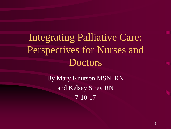Integrating Palliative Care: Perspectives for Nurses and **Doctors** 

> By Mary Knutson MSN, RN and Kelsey Strey RN 7-10-17

> > 1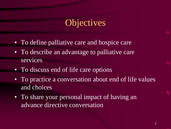## **Objectives**

- To define palliative care and hospice care
- To describe an advantage to palliative care services
- To discuss end of life care options
- To practice a conversation about end of life values and choices
- To share your personal impact of having an advance directive conversation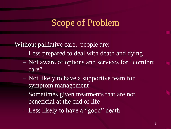### Scope of Problem

Without palliative care, people are:

- Less prepared to deal with death and dying
- Not aware of options and services for "comfort care"
- Not likely to have a supportive team for symptom management
- Sometimes given treatments that are not beneficial at the end of life
- Less likely to have a "good" death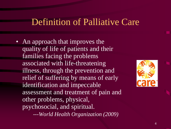## Definition of Palliative Care

• An approach that improves the quality of life of patients and their families facing the problems associated with life-threatening illness, through the prevention and relief of suffering by means of early identification and impeccable assessment and treatment of pain and other problems, physical, psychosocial, and spiritual.



*---World Health Organization (2009)*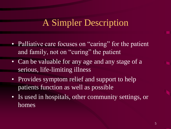## A Simpler Description

- Palliative care focuses on "caring" for the patient and family, not on "curing" the patient
- Can be valuable for any age and any stage of a serious, life-limiting illness
- Provides symptom relief and support to help patients function as well as possible
- Is used in hospitals, other community settings, or homes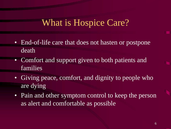## What is Hospice Care?

- End-of-life care that does not hasten or postpone death
- Comfort and support given to both patients and families
- Giving peace, comfort, and dignity to people who are dying
- Pain and other symptom control to keep the person as alert and comfortable as possible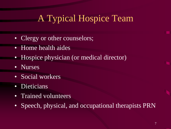## A Typical Hospice Team

- Clergy or other counselors;
- Home health aides
- Hospice physician (or medical director)
- Nurses
- Social workers
- **Dieticians**
- Trained volunteers
- Speech, physical, and occupational therapists PRN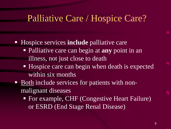#### Palliative Care / Hospice Care?

- Hospice services **include** palliative care
	- Palliative care can begin at **any** point in an illness, not just close to death
	- Hospice care can begin when death is expected within six months
- Both include services for patients with nonmalignant diseases
	- For example, CHF (Congestive Heart Failure) or ESRD (End Stage Renal Disease)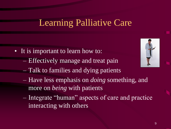## Learning Palliative Care

- It is important to learn how to:
	- Effectively manage and treat pain
	- Talk to families and dying patients
	- Have less emphasis on *doing* something, and more on *being* with patients
	- Integrate "human" aspects of care and practice interacting with others

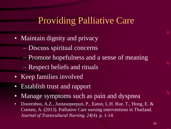## Providing Palliative Care

- Maintain dignity and privacy
	- Discuss spiritual concerns
	- Promote hopefulness and a sense of meaning
	- Respect beliefs and rituals
- Keep families involved
- Establish trust and rapport
- Manage symptoms such as pain and dyspnea
- Doorenbos, A.Z., Juntasopeepun, P., Eaton, L.H. Rue, T., Hong, E. & Coenen, A. (2013). Palliative Care nursing interventions in Thailand. *Journal of Transcultural Nursing. 24(*4). p. 1-14.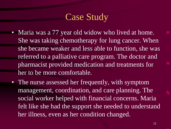## Case Study

- Maria was a 77 year old widow who lived at home. She was taking chemotherapy for lung cancer. When she became weaker and less able to function, she was referred to a palliative care program. The doctor and pharmacist provided medication and treatments for her to be more comfortable.
- The nurse assessed her frequently, with symptom management, coordination, and care planning. The social worker helped with financial concerns. Maria felt like she had the support she needed to understand her illness, even as her condition changed.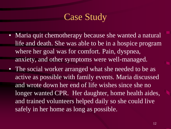## Case Study

- Maria quit chemotherapy because she wanted a natural life and death. She was able to be in a hospice program where her goal was for comfort. Pain, dyspnea, anxiety, and other symptoms were well-managed.
- The social worker arranged what she needed to be as active as possible with family events. Maria discussed and wrote down her end of life wishes since she no longer wanted CPR. Her daughter, home health aides, and trained volunteers helped daily so she could live safely in her home as long as possible.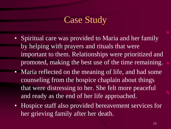## Case Study

- Spiritual care was provided to Maria and her family by helping with prayers and rituals that were important to them. Relationships were prioritized and promoted, making the best use of the time remaining.
- Maria reflected on the meaning of life, and had some counseling from the hospice chaplain about things that were distressing to her. She felt more peaceful and ready as the end of her life approached.
- Hospice staff also provided bereavement services for her grieving family after her death.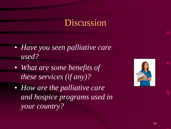#### Discussion

- *Have you seen palliative care used?*
- *What are some benefits of these services (if any)?*
- *How are the palliative care and hospice programs used in your country?*

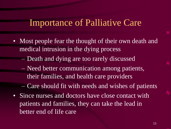#### Importance of Palliative Care

- Most people fear the thought of their own death and medical intrusion in the dying process
	- Death and dying are too rarely discussed
	- Need better communication among patients, their families, and health care providers
	- Care should fit with needs and wishes of patients
- Since nurses and doctors have close contact with patients and families, they can take the lead in better end of life care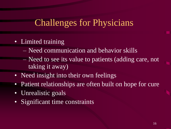## Challenges for Physicians

- Limited training
	- Need communication and behavior skills
	- Need to see its value to patients (adding care, not taking it away)
- Need insight into their own feelings
- Patient relationships are often built on hope for cure
- Unrealistic goals
- Significant time constraints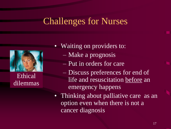## Challenges for Nurses



Ethical dilemmas

• Waiting on providers to:

- Make a prognosis
- Put in orders for care
- Discuss preferences for end of life and resuscitation before an emergency happens
- Thinking about palliative care as an option even when there is not a cancer diagnosis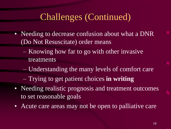## Challenges (Continued)

- Needing to decrease confusion about what a DNR (Do Not Resuscitate) order means
	- Knowing how far to go with other invasive treatments
	- Understanding the many levels of comfort care
	- Trying to get patient choices **in writing**
- Needing realistic prognosis and treatment outcomes to set reasonable goals
- Acute care areas may not be open to palliative care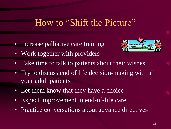#### How to "Shift the Picture"

• Increase palliative care training



- Work together with providers
- Take time to talk to patients about their wishes
- Try to discuss end of life decision-making with all your adult patients
- Let them know that they have a choice
- Expect improvement in end-of-life care
- Practice conversations about advance directives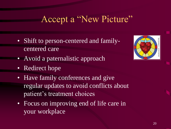## Accept a "New Picture"

- Shift to person-centered and familycentered care
- Avoid a paternalistic approach
- Redirect hope
- Have family conferences and give regular updates to avoid conflicts about patient's treatment choices
- Focus on improving end of life care in your workplace

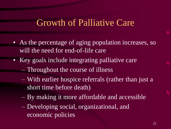#### Growth of Palliative Care

- As the percentage of aging population increases, so will the need for end-of-life care
- Key goals include integrating palliative care
	- Throughout the course of illness
	- With earlier hospice referrals (rather than just a short time before death)
	- By making it more affordable and accessible
	- Developing social, organizational, and economic policies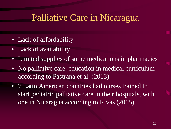### Palliative Care in Nicaragua

- Lack of affordability
- Lack of availability
- Limited supplies of some medications in pharmacies
- No palliative care education in medical curriculum according to Pastrana et al. (2013)
- 7 Latin American countries had nurses trained to start pediatric palliative care in their hospitals, with one in Nicaragua according to Rivas (2015)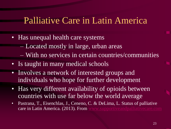#### Palliative Care in Latin America

- Has unequal health care systems
	- Located mostly in large, urban areas
	- With no services in certain countries/communities
- Is taught in many medical schools
- Involves a network of interested groups and individuals who hope for further development
- Has very different availability of opioids between countries with use far below the world average
- Pastrana, T., Eisenchlas, J., Ceneno, C. & DeLima, L. Status of palliative care in Latin America. (2013). From [www.supportiveandpalliativecare.com](http://www.supportiveandpalliativecare.com/)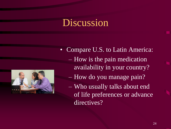## **Discussion**



- Compare U.S. to Latin America: – How is the pain medication availability in your country?
	- How do you manage pain?
	- Who usually talks about end of life preferences or advance directives?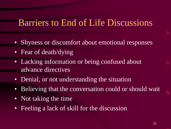#### Barriers to End of Life Discussions

- Shyness or discomfort about emotional responses
- Fear of death/dying
- Lacking information or being confused about advance directives
- Denial, or not understanding the situation
- Believing that the conversation could or should wait
- Not taking the time
- Feeling a lack of skill for the discussion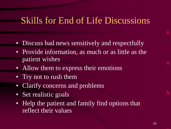#### Skills for End of Life Discussions

- Discuss bad news sensitively and respectfully
- Provide information, as much or as little as the patient wishes
- Allow them to express their emotions
- Try not to rush them
- Clarify concerns and problems
- Set realistic goals
- Help the patient and family find options that reflect their values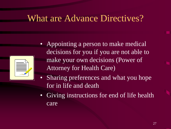## What are Advance Directives?



- Appointing a person to make medical decisions for you if you are not able to make your own decisions (Power of Attorney for Health Care)
- Sharing preferences and what you hope for in life and death
- Giving instructions for end of life health care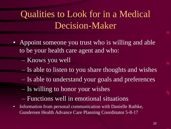# Qualities to Look for in a Medical Decision-Maker

- Appoint someone you trust who is willing and able to be your health care agent and who:
	- Knows you well
	- Is able to listen to you share thoughts and wishes
	- Is able to understand your goals and preferences
	- Is willing to honor your wishes
	- Functions well in emotional situations
- Information from personal communication with Danielle Rathke, Gundersen Health Advance Care Planning Coordinator 5-8-17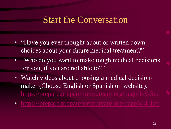#### Start the Conversation

- "Have you ever thought about or written down choices about your future medical treatment?"
- "Who do you want to make tough medical decisions" for you, if you are not able to?"
- Watch videos about choosing a medical decisionmaker (Choose English or Spanish on website): <https://prepare.prepareforyourcare.org/page/1-3-3vd>
- <https://prepare.prepareforyourcare.org/page/4-4-1vc>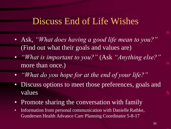#### Discuss End of Life Wishes

- Ask, *"What does having a good life mean to you?"*  (Find out what their goals and values are)
- *"What is important to you?"* (Ask *"Anything else?"*  more than once.)
- *"What do you hope for at the end of your life?"*
- Discuss options to meet those preferences, goals and values
- Promote sharing the conversation with family
- Information from personal communication with Danielle Rathke, Gundersen Health Advance Care Planning Coordinator 5-8-17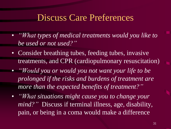#### Discuss Care Preferences

- *"What types of medical treatments would you like to be used or not used?"*
- Consider breathing tubes, feeding tubes, invasive treatments, and CPR (cardiopulmonary resuscitation)
- *"Would you or would you not want your life to be prolonged if the risks and burdens of treatment are more than the expected benefits of treatment?"*
- *"What situations might cause you to change your mind?"* Discuss if terminal illness, age, disability, pain, or being in a coma would make a difference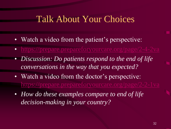#### Talk About Your Choices

- Watch a video from the patient's perspective:
- <https://prepare.prepareforyourcare.org/page/2-4-2va>
- *Discussion: Do patients respond to the end of life conversations in the way that you expected?*
- Watch a video from the doctor's perspective: <https://prepare.prepareforyourcare.org/page/2-2-1va>
- *How do these examples compare to end of life decision-making in your country?*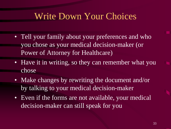## Write Down Your Choices

- Tell your family about your preferences and who you chose as your medical decision-maker (or Power of Attorney for Healthcare)
- Have it in writing, so they can remember what you chose
- Make changes by rewriting the document and/or by talking to your medical decision-maker
- Even if the forms are not available, your medical decision-maker can still speak for you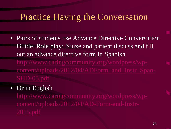## Practice Having the Conversation

- Pairs of students use Advance Directive Conversation Guide. Role play: Nurse and patient discuss and fill out an advance directive form in Spanish [http://www.caringcommunity.org/wordpress/wp](http://www.caringcommunity.org/wordpress/wp-content/uploads/2012/04/ADForm_and_Instr_Span-SHD-05.pdf)
	- [content/uploads/2012/04/ADForm\\_and\\_Instr\\_Span-](http://www.caringcommunity.org/wordpress/wp-content/uploads/2012/04/ADForm_and_Instr_Span-SHD-05.pdf)

#### • Or in English

[http://www.caringcommunity.org/wordpress/wp](http://www.caringcommunity.org/wordpress/wp-content/uploads/2012/04/AD-Form-and-Instr-2015.pdf)[content/uploads/2012/04/AD-Form-and-Instr-](http://www.caringcommunity.org/wordpress/wp-content/uploads/2012/04/AD-Form-and-Instr-2015.pdf)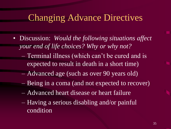### Changing Advance Directives

- Discussion: *Would the following situations affect your end of life choices? Why or why not?*
	- Terminal illness (which can't be cured and is expected to result in death in a short time)
	- Advanced age (such as over 90 years old)
	- Being in a coma (and not expected to recover)
	- Advanced heart disease or heart failure
	- Having a serious disabling and/or painful condition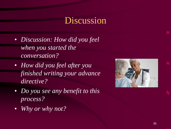### Discussion

- *Discussion: How did you feel when you started the conversation?*
- *How did you feel after you finished writing your advance directive?*
- *Do you see any benefit to this process?*
- *Why or why not?*

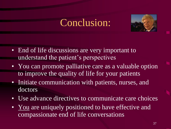# Conclusion:



- End of life discussions are very important to understand the patient's perspectives
- You can promote palliative care as a valuable option to improve the quality of life for your patients
- Initiate communication with patients, nurses, and doctors
- Use advance directives to communicate care choices
- You are uniquely positioned to have effective and compassionate end of life conversations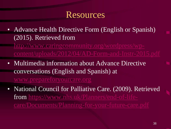#### Resources

• Advance Health Directive Form (English or Spanish) (2015). Retrieved from

[http://www.caringcommunity.org/wordpress/wp](http://www.caringcommunity.org/wordpress/wp-content/uploads/2012/04/AD-Form-and-Instr-2015.pdf)[content/uploads/2012/04/AD-Form-and-Instr-2015.pdf](http://www.caringcommunity.org/wordpress/wp-content/uploads/2012/04/AD-Form-and-Instr-2015.pdf)

- Multimedia information about Advance Directive conversations (English and Spanish) at [www.prepareforyourcare.org](http://www.prepareforyourcare.org/)
- National Council for Palliative Care. (2009). Retrieved from [https://www.nhs.uk/Planners/end-of-life](https://www.nhs.uk/Planners/end-of-life-care/Documents/Planning-for-your-future-care.pdf)[care/Documents/Planning-for-your-future-care.pdf](https://www.nhs.uk/Planners/end-of-life-care/Documents/Planning-for-your-future-care.pdf)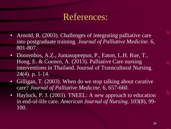### References:

- Arnold, R. (2003). Challenges of integrating palliative care into postgraduate training. *Journal of Palliative Medicine*. 6, 801-807.
- Doorenbos, A.Z., Juntasopeepun, P., Eaton, L.H. Rue, T., Hong, E. & Coenen, A. (2013). Palliative Care nursing interventions in Thailand. Journal of Transcultural Nursing. 24(4). p. 1-14.
- Gilligan, T. (2003). When do we stop talking about curative care? *Journal of Palliative Medicine*. 6, 657-660.
- Haylock, P. J. (2003). TNEEL: A new approach to education in end-of-life care. *American Journal of Nursing*. 103(8), 99- 100.